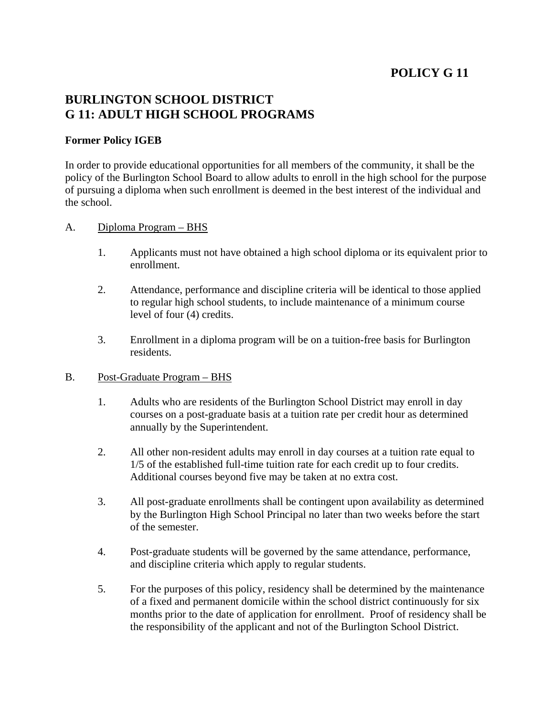# **POLICY G 11**

## **BURLINGTON SCHOOL DISTRICT G 11: ADULT HIGH SCHOOL PROGRAMS**

### **Former Policy IGEB**

In order to provide educational opportunities for all members of the community, it shall be the policy of the Burlington School Board to allow adults to enroll in the high school for the purpose of pursuing a diploma when such enrollment is deemed in the best interest of the individual and the school.

#### A. Diploma Program – BHS

- 1. Applicants must not have obtained a high school diploma or its equivalent prior to enrollment.
- 2. Attendance, performance and discipline criteria will be identical to those applied to regular high school students, to include maintenance of a minimum course level of four (4) credits.
- 3. Enrollment in a diploma program will be on a tuition-free basis for Burlington residents.
- B. Post-Graduate Program BHS
	- 1. Adults who are residents of the Burlington School District may enroll in day courses on a post-graduate basis at a tuition rate per credit hour as determined annually by the Superintendent.
	- 2. All other non-resident adults may enroll in day courses at a tuition rate equal to 1/5 of the established full-time tuition rate for each credit up to four credits. Additional courses beyond five may be taken at no extra cost.
	- 3. All post-graduate enrollments shall be contingent upon availability as determined by the Burlington High School Principal no later than two weeks before the start of the semester.
	- 4. Post-graduate students will be governed by the same attendance, performance, and discipline criteria which apply to regular students.
	- 5. For the purposes of this policy, residency shall be determined by the maintenance of a fixed and permanent domicile within the school district continuously for six months prior to the date of application for enrollment. Proof of residency shall be the responsibility of the applicant and not of the Burlington School District.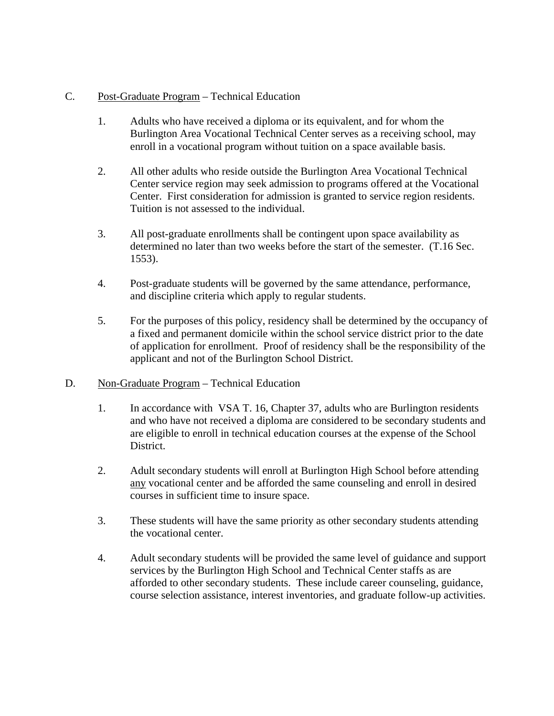### C. Post-Graduate Program – Technical Education

- 1. Adults who have received a diploma or its equivalent, and for whom the Burlington Area Vocational Technical Center serves as a receiving school, may enroll in a vocational program without tuition on a space available basis.
- 2. All other adults who reside outside the Burlington Area Vocational Technical Center service region may seek admission to programs offered at the Vocational Center. First consideration for admission is granted to service region residents. Tuition is not assessed to the individual.
- 3. All post-graduate enrollments shall be contingent upon space availability as determined no later than two weeks before the start of the semester. (T.16 Sec. 1553).
- 4. Post-graduate students will be governed by the same attendance, performance, and discipline criteria which apply to regular students.
- 5. For the purposes of this policy, residency shall be determined by the occupancy of a fixed and permanent domicile within the school service district prior to the date of application for enrollment. Proof of residency shall be the responsibility of the applicant and not of the Burlington School District.
- D. Non-Graduate Program Technical Education
	- 1. In accordance with VSA T. 16, Chapter 37, adults who are Burlington residents and who have not received a diploma are considered to be secondary students and are eligible to enroll in technical education courses at the expense of the School District.
	- 2. Adult secondary students will enroll at Burlington High School before attending any vocational center and be afforded the same counseling and enroll in desired courses in sufficient time to insure space.
	- 3. These students will have the same priority as other secondary students attending the vocational center.
	- 4. Adult secondary students will be provided the same level of guidance and support services by the Burlington High School and Technical Center staffs as are afforded to other secondary students. These include career counseling, guidance, course selection assistance, interest inventories, and graduate follow-up activities.